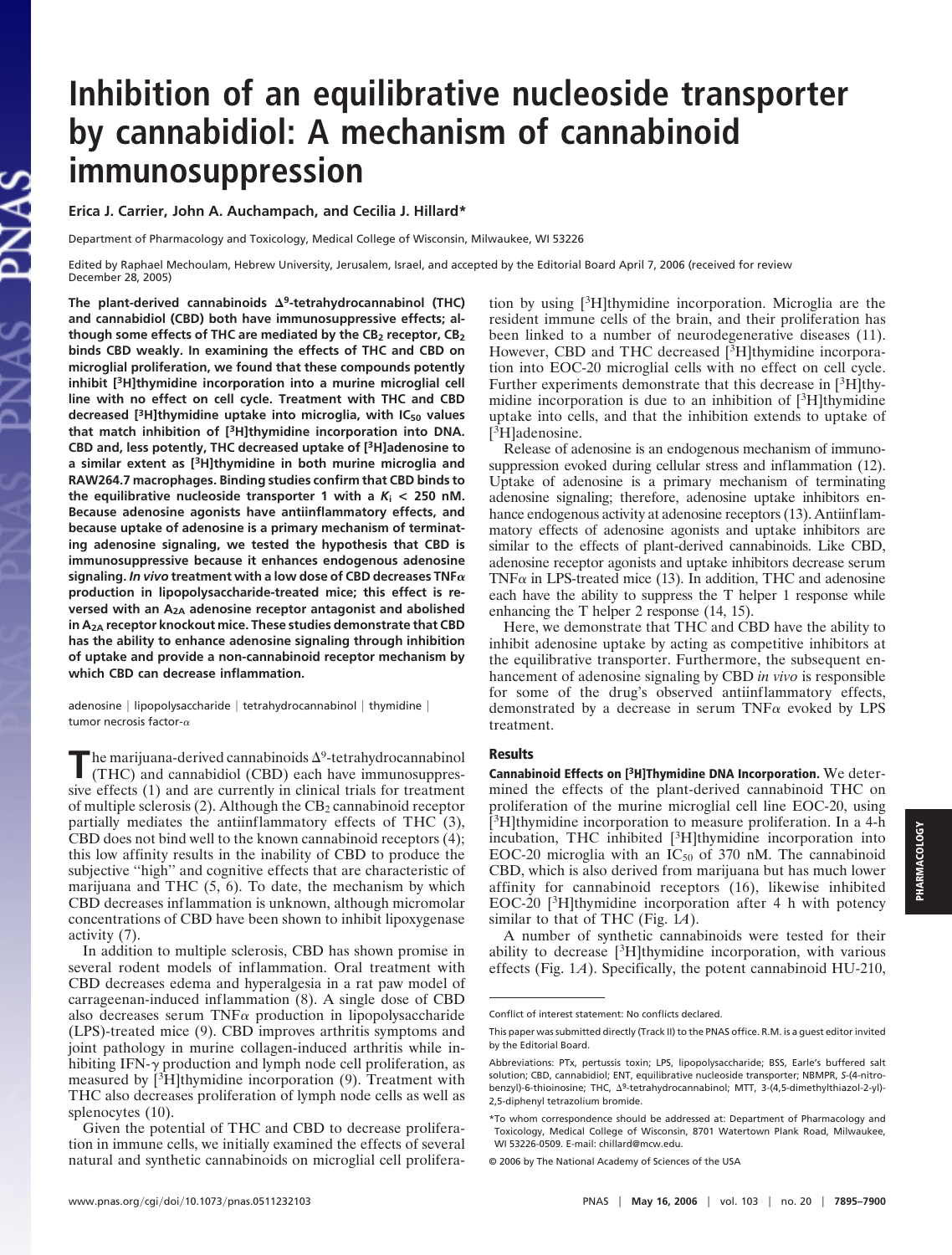## **Inhibition of an equilibrative nucleoside transporter by cannabidiol: A mechanism of cannabinoid immunosuppression**

**Erica J. Carrier, John A. Auchampach, and Cecilia J. Hillard\***

Department of Pharmacology and Toxicology, Medical College of Wisconsin, Milwaukee, WI 53226

Edited by Raphael Mechoulam, Hebrew University, Jerusalem, Israel, and accepted by the Editorial Board April 7, 2006 (received for review December 28, 2005)

**The plant-derived cannabinoids <sup>9</sup> -tetrahydrocannabinol (THC) and cannabidiol (CBD) both have immunosuppressive effects; although some effects of THC are mediated by the CB2 receptor, CB2 binds CBD weakly. In examining the effects of THC and CBD on microglial proliferation, we found that these compounds potently inhibit [3H]thymidine incorporation into a murine microglial cell line with no effect on cell cycle. Treatment with THC and CBD decreased [3H]thymidine uptake into microglia, with IC<sup>50</sup> values that match inhibition of [3H]thymidine incorporation into DNA. CBD and, less potently, THC decreased uptake of [3H]adenosine to a similar extent as [3H]thymidine in both murine microglia and RAW264.7 macrophages. Binding studies confirm that CBD binds to** the equilibrative nucleoside transporter 1 with a  $K_i < 250$  nM. **Because adenosine agonists have antiinflammatory effects, and because uptake of adenosine is a primary mechanism of terminating adenosine signaling, we tested the hypothesis that CBD is immunosuppressive because it enhances endogenous adenosine** signaling. *In vivo* treatment with a low dose of CBD decreases TNF $\alpha$ **production in lipopolysaccharide-treated mice; this effect is reversed with an A2A adenosine receptor antagonist and abolished in A2A receptor knockout mice. These studies demonstrate that CBD has the ability to enhance adenosine signaling through inhibition of uptake and provide a non-cannabinoid receptor mechanism by which CBD can decrease inflammation.**

adenosine | lipopolysaccharide | tetrahydrocannabinol | thymidine | tumor necrosis factor- $\alpha$ 

The marijuana-derived cannabinoids  $\Delta^9$ -tetrahydrocannabinol (THC) and cannabidiol (CBD) each have immunosuppressive effects (1) and are currently in clinical trials for treatment he marijuana-derived cannabinoids  $\Delta^9$ -tetrahydrocannabinol (THC) and cannabidiol (CBD) each have immunosuppresof multiple sclerosis  $(2)$ . Although the CB<sub>2</sub> cannabinoid receptor partially mediates the antiinflammatory effects of THC (3), CBD does not bind well to the known cannabinoid receptors (4); this low affinity results in the inability of CBD to produce the subjective "high" and cognitive effects that are characteristic of marijuana and THC (5, 6). To date, the mechanism by which CBD decreases inflammation is unknown, although micromolar concentrations of CBD have been shown to inhibit lipoxygenase activity (7).

In addition to multiple sclerosis, CBD has shown promise in several rodent models of inflammation. Oral treatment with CBD decreases edema and hyperalgesia in a rat paw model of carrageenan-induced inflammation (8). A single dose of CBD also decreases serum  $TNF\alpha$  production in lipopolysaccharide (LPS)-treated mice (9). CBD improves arthritis symptoms and joint pathology in murine collagen-induced arthritis while inhibiting IFN- $\gamma$  production and lymph node cell proliferation, as measured by [3H]thymidine incorporation (9). Treatment with THC also decreases proliferation of lymph node cells as well as splenocytes (10).

Given the potential of THC and CBD to decrease proliferation in immune cells, we initially examined the effects of several natural and synthetic cannabinoids on microglial cell proliferation by using [3H]thymidine incorporation. Microglia are the resident immune cells of the brain, and their proliferation has been linked to a number of neurodegenerative diseases (11). However, CBD and THC decreased [3H]thymidine incorporation into EOC-20 microglial cells with no effect on cell cycle. Further experiments demonstrate that this decrease in [3H]thymidine incorporation is due to an inhibition of  $[3H]$ thymidine uptake into cells, and that the inhibition extends to uptake of [ <sup>3</sup>H]adenosine.

Release of adenosine is an endogenous mechanism of immunosuppression evoked during cellular stress and inflammation (12). Uptake of adenosine is a primary mechanism of terminating adenosine signaling; therefore, adenosine uptake inhibitors enhance endogenous activity at adenosine receptors (13). Antiinflammatory effects of adenosine agonists and uptake inhibitors are similar to the effects of plant-derived cannabinoids. Like CBD, adenosine receptor agonists and uptake inhibitors decrease serum TNF $\alpha$  in LPS-treated mice (13). In addition, THC and adenosine each have the ability to suppress the T helper 1 response while enhancing the T helper 2 response (14, 15).

Here, we demonstrate that THC and CBD have the ability to inhibit adenosine uptake by acting as competitive inhibitors at the equilibrative transporter. Furthermore, the subsequent enhancement of adenosine signaling by CBD *in vivo* is responsible for some of the drug's observed antiinflammatory effects, demonstrated by a decrease in serum  $TNF\alpha$  evoked by LPS treatment.

## **Results**

Cannabinoid Effects on [3H]Thymidine DNA Incorporation. We determined the effects of the plant-derived cannabinoid THC on proliferation of the murine microglial cell line EOC-20, using [ <sup>3</sup>H]thymidine incorporation to measure proliferation. In a 4-h incubation, THC inhibited [3H]thymidine incorporation into EOC-20 microglia with an  $IC_{50}$  of 370 nM. The cannabinoid CBD, which is also derived from marijuana but has much lower affinity for cannabinoid receptors (16), likewise inhibited EOC-20  $[3H]$ thymidine incorporation after 4 h with potency similar to that of THC (Fig. 1*A*).

A number of synthetic cannabinoids were tested for their ability to decrease  $[3H]$ thymidine incorporation, with various effects (Fig. 1*A*). Specifically, the potent cannabinoid HU-210,

Conflict of interest statement: No conflicts declared.

This paper was submitted directly (Track II) to the PNAS office. R.M. is a guest editor invited by the Editorial Board.

Abbreviations: PTx, pertussis toxin; LPS, lipopolysaccharide; BSS, Earle's buffered salt solution; CBD, cannabidiol; ENT, equilibrative nucleoside transporter; NBMPR, *S*-(4-nitrobenzyl)-6-thioinosine; THC, Δ<sup>9</sup>-tetrahydrocannabinol; MTT, 3-(4,5-dimethylthiazol-2-yl)-2,5-diphenyl tetrazolium bromide.

<sup>\*</sup>To whom correspondence should be addressed at: Department of Pharmacology and Toxicology, Medical College of Wisconsin, 8701 Watertown Plank Road, Milwaukee, WI 53226-0509. E-mail: chillard@mcw.edu.

<sup>© 2006</sup> by The National Academy of Sciences of the USA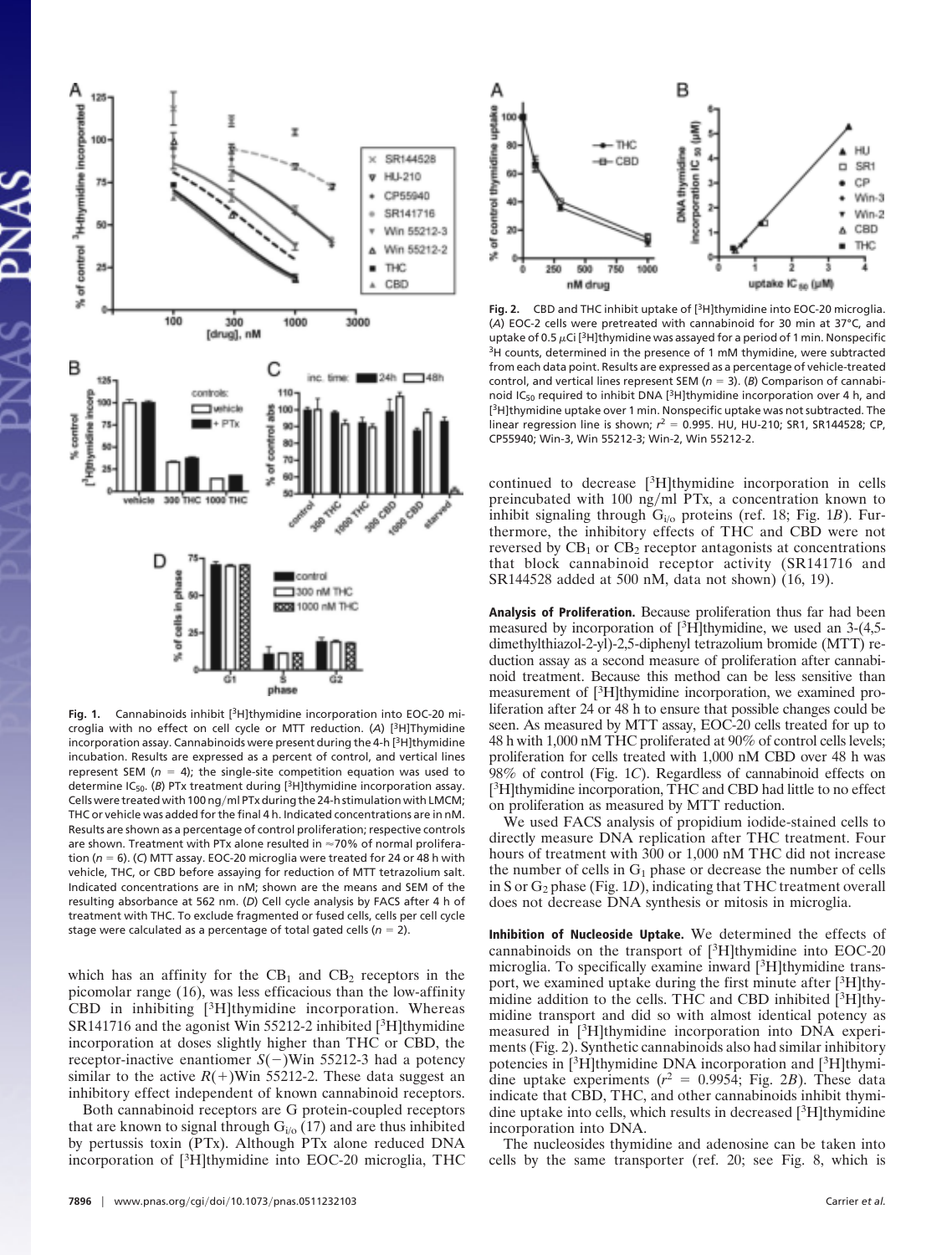

**Fig. 1.** Cannabinoids inhibit [3H]thymidine incorporation into EOC-20 microglia with no effect on cell cycle or MTT reduction. (*A*) [3H]Thymidine incorporation assay. Cannabinoids were present during the 4-h [<sup>3</sup>H]thymidine incubation. Results are expressed as a percent of control, and vertical lines represent SEM ( $n = 4$ ); the single-site competition equation was used to determine IC<sub>50</sub>. (B) PTx treatment during [<sup>3</sup>H]thymidine incorporation assay. Cells were treated with 100 ng/ml PTx during the 24-h stimulation with LMCM; THC or vehicle was added for the final 4 h. Indicated concentrations are in nM. Results are shown as a percentage of control proliferation; respective controls are shown. Treatment with PTx alone resulted in  $\approx$  70% of normal proliferation ( $n = 6$ ). (*C*) MTT assay. EOC-20 microglia were treated for 24 or 48 h with vehicle, THC, or CBD before assaying for reduction of MTT tetrazolium salt. Indicated concentrations are in nM; shown are the means and SEM of the resulting absorbance at 562 nm. (*D*) Cell cycle analysis by FACS after 4 h of treatment with THC. To exclude fragmented or fused cells, cells per cell cycle stage were calculated as a percentage of total gated cells ( $n = 2$ ).

which has an affinity for the  $CB_1$  and  $CB_2$  receptors in the picomolar range (16), was less efficacious than the low-affinity CBD in inhibiting [3H]thymidine incorporation. Whereas SR141716 and the agonist Win 55212-2 inhibited [<sup>3</sup>H]thymidine incorporation at doses slightly higher than THC or CBD, the receptor-inactive enantiomer  $S(-)$ Win 55212-3 had a potency similar to the active  $R(+)$ Win 55212-2. These data suggest an inhibitory effect independent of known cannabinoid receptors.

Both cannabinoid receptors are G protein-coupled receptors that are known to signal through  $G_{i/0}$  (17) and are thus inhibited by pertussis toxin (PTx). Although PTx alone reduced DNA incorporation of [3H]thymidine into EOC-20 microglia, THC



**Fig. 2.** CBD and THC inhibit uptake of [3H]thymidine into EOC-20 microglia. (*A*) EOC-2 cells were pretreated with cannabinoid for 30 min at 37°C, and uptake of 0.5  $\mu$ Ci [<sup>3</sup>H]thymidine was assayed for a period of 1 min. Nonspecific <sup>3</sup>H counts, determined in the presence of 1 mM thymidine, were subtracted from each data point. Results are expressed as a percentage of vehicle-treated control, and vertical lines represent SEM ( $n = 3$ ). (*B*) Comparison of cannabinoid  $IC_{50}$  required to inhibit DNA [<sup>3</sup>H]thymidine incorporation over 4 h, and [ <sup>3</sup>H]thymidine uptake over 1 min. Nonspecific uptake was not subtracted. The linear regression line is shown;  $r^2 = 0.995$ . HU, HU-210; SR1, SR144528; CP, CP55940; Win-3, Win 55212-3; Win-2, Win 55212-2.

continued to decrease [3H]thymidine incorporation in cells preincubated with 100 ng/ml PTx, a concentration known to inhibit signaling through Gi/o proteins (ref. 18; Fig. 1*B*). Furthermore, the inhibitory effects of THC and CBD were not reversed by  $CB_1$  or  $CB_2$  receptor antagonists at concentrations that block cannabinoid receptor activity (SR141716 and SR144528 added at 500 nM, data not shown) (16, 19).

Analysis of Proliferation. Because proliferation thus far had been measured by incorporation of [3H]thymidine, we used an 3-(4,5 dimethylthiazol-2-yl)-2,5-diphenyl tetrazolium bromide (MTT) reduction assay as a second measure of proliferation after cannabinoid treatment. Because this method can be less sensitive than measurement of [3H]thymidine incorporation, we examined proliferation after 24 or 48 h to ensure that possible changes could be seen. As measured by MTT assay, EOC-20 cells treated for up to 48 h with 1,000 nM THC proliferated at 90% of control cells levels; proliferation for cells treated with 1,000 nM CBD over 48 h was 98% of control (Fig. 1*C*). Regardless of cannabinoid effects on [<sup>3</sup>H]thymidine incorporation, THC and CBD had little to no effect on proliferation as measured by MTT reduction.

We used FACS analysis of propidium iodide-stained cells to directly measure DNA replication after THC treatment. Four hours of treatment with 300 or 1,000 nM THC did not increase the number of cells in  $G_1$  phase or decrease the number of cells in S or G<sup>2</sup> phase (Fig. 1*D*), indicating that THC treatment overall does not decrease DNA synthesis or mitosis in microglia.

Inhibition of Nucleoside Uptake. We determined the effects of cannabinoids on the transport of  $[3H]$ thymidine into EOC-20 microglia. To specifically examine inward [3H]thymidine transport, we examined uptake during the first minute after [3H]thymidine addition to the cells. THC and CBD inhibited [3H]thymidine transport and did so with almost identical potency as measured in [3H]thymidine incorporation into DNA experiments (Fig. 2). Synthetic cannabinoids also had similar inhibitory potencies in [3H]thymidine DNA incorporation and [3H]thymidine uptake experiments  $(r^2 = 0.9954;$  Fig. 2*B*). These data indicate that CBD, THC, and other cannabinoids inhibit thymidine uptake into cells, which results in decreased [3H]thymidine incorporation into DNA.

The nucleosides thymidine and adenosine can be taken into cells by the same transporter (ref. 20; see Fig. 8, which is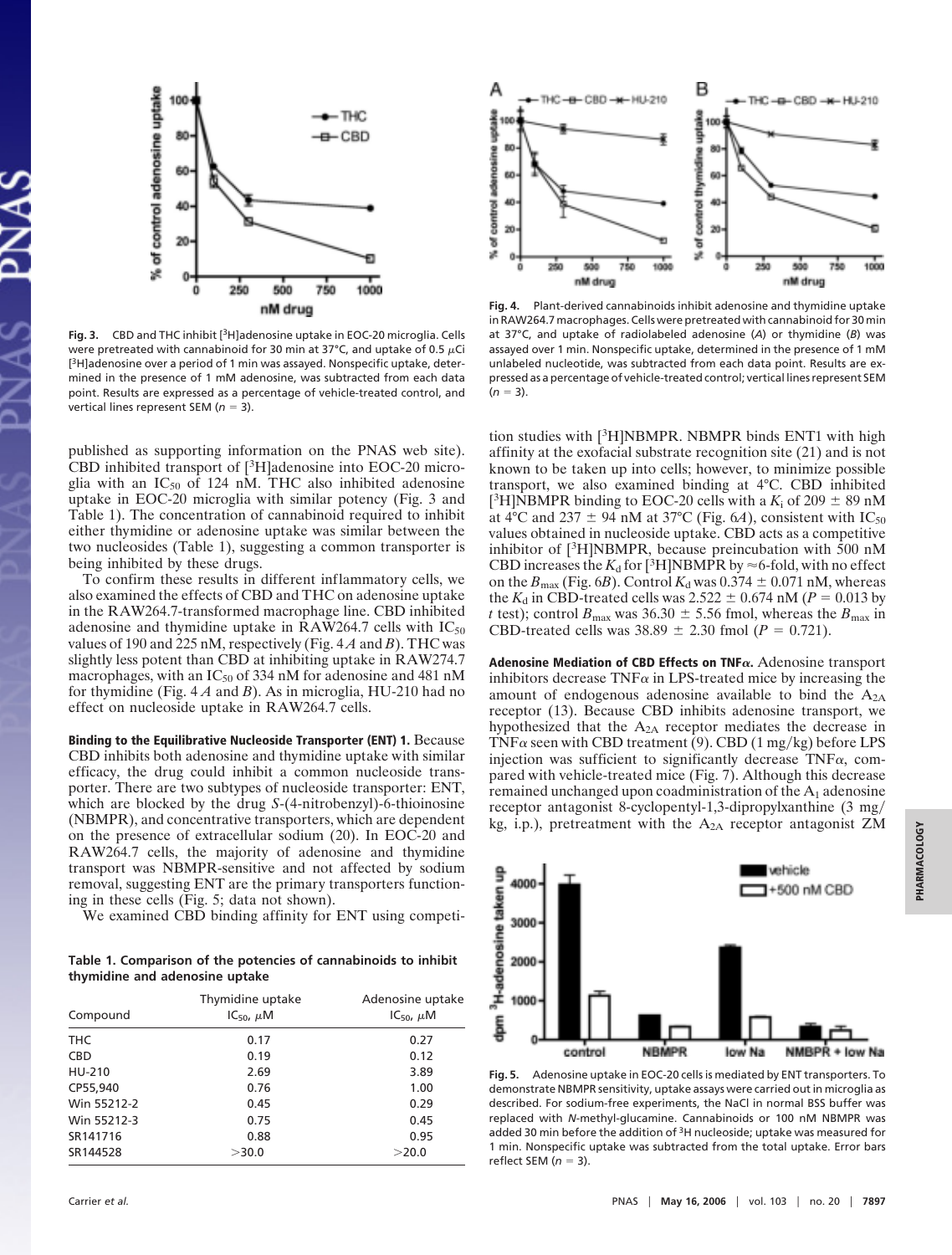

**Fig. 3.** CBD and THC inhibit [3H]adenosine uptake in EOC-20 microglia. Cells were pretreated with cannabinoid for 30 min at 37°C, and uptake of 0.5  $\mu$ Ci [<sup>3</sup>H]adenosine over a period of 1 min was assayed. Nonspecific uptake, determined in the presence of 1 mM adenosine, was subtracted from each data point. Results are expressed as a percentage of vehicle-treated control, and vertical lines represent SEM (*n* = 3).

published as supporting information on the PNAS web site). CBD inhibited transport of [3H]adenosine into EOC-20 microglia with an  $IC_{50}$  of 124 nM. THC also inhibited adenosine uptake in EOC-20 microglia with similar potency (Fig. 3 and Table 1). The concentration of cannabinoid required to inhibit either thymidine or adenosine uptake was similar between the two nucleosides (Table 1), suggesting a common transporter is being inhibited by these drugs.

To confirm these results in different inflammatory cells, we also examined the effects of CBD and THC on adenosine uptake in the RAW264.7-transformed macrophage line. CBD inhibited adenosine and thymidine uptake in  $\overline{R}AW264.7$  cells with  $IC_{50}$ values of 190 and 225 nM, respectively (Fig. 4 *A* and *B*). THC was slightly less potent than CBD at inhibiting uptake in RAW274.7 macrophages, with an  $IC_{50}$  of 334 nM for adenosine and 481 nM for thymidine (Fig. 4 *A* and *B*). As in microglia, HU-210 had no effect on nucleoside uptake in RAW264.7 cells.

Binding to the Equilibrative Nucleoside Transporter (ENT) 1. Because CBD inhibits both adenosine and thymidine uptake with similar efficacy, the drug could inhibit a common nucleoside transporter. There are two subtypes of nucleoside transporter: ENT, which are blocked by the drug *S*-(4-nitrobenzyl)-6-thioinosine (NBMPR), and concentrative transporters, which are dependent on the presence of extracellular sodium (20). In EOC-20 and RAW264.7 cells, the majority of adenosine and thymidine transport was NBMPR-sensitive and not affected by sodium removal, suggesting ENT are the primary transporters functioning in these cells (Fig. 5; data not shown).

We examined CBD binding affinity for ENT using competi-

**Table 1. Comparison of the potencies of cannabinoids to inhibit thymidine and adenosine uptake**

| Compound    | Thymidine uptake<br>$IC_{50}$ , $\mu$ M | Adenosine uptake<br>$IC_{50}$ , $\mu$ M |
|-------------|-----------------------------------------|-----------------------------------------|
|             |                                         |                                         |
| <b>CBD</b>  | 0.19                                    | 0.12                                    |
| HU-210      | 2.69                                    | 3.89                                    |
| CP55,940    | 0.76                                    | 1.00                                    |
| Win 55212-2 | 0.45                                    | 0.29                                    |
| Win 55212-3 | 0.75                                    | 0.45                                    |
| SR141716    | 0.88                                    | 0.95                                    |
| SR144528    | >30.0                                   | >20.0                                   |



**Fig. 4.** Plant-derived cannabinoids inhibit adenosine and thymidine uptake in RAW264.7 macrophages. Cells were pretreated with cannabinoid for 30 min at 37°C, and uptake of radiolabeled adenosine (*A*) or thymidine (*B*) was assayed over 1 min. Nonspecific uptake, determined in the presence of 1 mM unlabeled nucleotide, was subtracted from each data point. Results are expressed as a percentage of vehicle-treated control; vertical lines represent SEM  $(n = 3)$ .

tion studies with [3H]NBMPR. NBMPR binds ENT1 with high affinity at the exofacial substrate recognition site (21) and is not known to be taken up into cells; however, to minimize possible transport, we also examined binding at 4°C. CBD inhibited [<sup>3</sup>H]NBMPR binding to EOC-20 cells with a  $K_i$  of 209  $\pm$  89 nM at 4<sup>o</sup>C and 237  $\pm$  94 nM at 37<sup>o</sup>C (Fig. 6*A*), consistent with IC<sub>50</sub> values obtained in nucleoside uptake. CBD acts as a competitive inhibitor of [3H]NBMPR, because preincubation with 500 nM CBD increases the  $K_d$  for [<sup>3</sup>H]NBMPR by  $\approx$  6-fold, with no effect on the  $B_{\text{max}}$  (Fig. 6*B*). Control  $K_d$  was 0.374  $\pm$  0.071 nM, whereas the  $K_d$  in CBD-treated cells was 2.522  $\pm$  0.674 nM ( $P = 0.013$  by *t* test); control  $B_{\text{max}}$  was 36.30  $\pm$  5.56 fmol, whereas the  $B_{\text{max}}$  in CBD-treated cells was  $38.89 \pm 2.30$  fmol (*P* = 0.721).

Adenosine Mediation of CBD Effects on TNF $\alpha$ . Adenosine transport inhibitors decrease  $TNF\alpha$  in LPS-treated mice by increasing the amount of endogenous adenosine available to bind the  $A_{2A}$ receptor (13). Because CBD inhibits adenosine transport, we hypothesized that the  $A_{2A}$  receptor mediates the decrease in  $TNF\alpha$  seen with CBD treatment (9). CBD (1 mg/kg) before LPS injection was sufficient to significantly decrease  $TNF\alpha$ , compared with vehicle-treated mice (Fig. 7). Although this decrease remained unchanged upon coadministration of the  $A_1$  adenosine receptor antagonist 8-cyclopentyl-1,3-dipropylxanthine (3 mg/ kg, i.p.), pretreatment with the  $A_{2A}$  receptor antagonist ZM



**Fig. 5.** Adenosine uptake in EOC-20 cells is mediated by ENT transporters. To demonstrate NBMPR sensitivity, uptake assays were carried out in microglia as described. For sodium-free experiments, the NaCl in normal BSS buffer was replaced with *N*-methyl-glucamine. Cannabinoids or 100 nM NBMPR was added 30 min before the addition of <sup>3</sup>H nucleoside; uptake was measured for 1 min. Nonspecific uptake was subtracted from the total uptake. Error bars reflect SEM  $(n = 3)$ .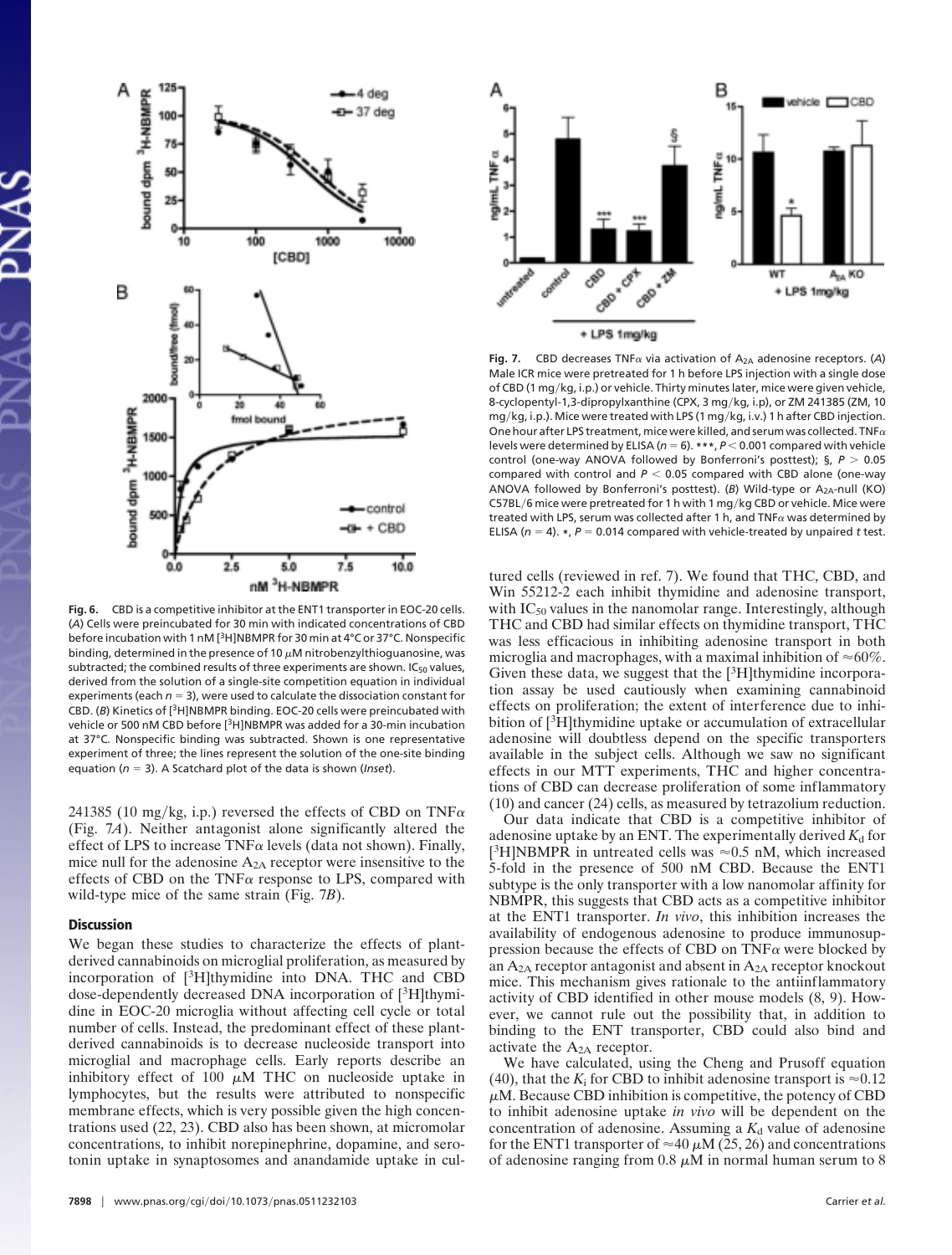

**Fig. 6.** CBD is a competitive inhibitor at the ENT1 transporter in EOC-20 cells. (*A*) Cells were preincubated for 30 min with indicated concentrations of CBD before incubation with 1 nM [<sup>3</sup>H]NBMPR for 30 min at 4°C or 37°C. Nonspecific binding, determined in the presence of 10  $\mu$ M nitrobenzylthioguanosine, was subtracted; the combined results of three experiments are shown.  $IC_{50}$  values, derived from the solution of a single-site competition equation in individual experiments (each  $n = 3$ ), were used to calculate the dissociation constant for CBD. (*B*) Kinetics of [3H]NBMPR binding. EOC-20 cells were preincubated with vehicle or 500 nM CBD before [3H]NBMPR was added for a 30-min incubation at 37°C. Nonspecific binding was subtracted. Shown is one representative experiment of three; the lines represent the solution of the one-site binding equation ( $n = 3$ ). A Scatchard plot of the data is shown (*Inset*).

241385 (10 mg/kg, i.p.) reversed the effects of CBD on TNF $\alpha$ (Fig. 7*A*). Neither antagonist alone significantly altered the effect of LPS to increase  $TNF\alpha$  levels (data not shown). Finally, mice null for the adenosine  $A_{2A}$  receptor were insensitive to the effects of CBD on the TNF $\alpha$  response to LPS, compared with wild-type mice of the same strain (Fig. 7*B*).

## **Discussion**

We began these studies to characterize the effects of plantderived cannabinoids on microglial proliferation, as measured by incorporation of  $[3H]$ thymidine into DNA. THC and CBD dose-dependently decreased DNA incorporation of [3H]thymidine in EOC-20 microglia without affecting cell cycle or total number of cells. Instead, the predominant effect of these plantderived cannabinoids is to decrease nucleoside transport into microglial and macrophage cells. Early reports describe an inhibitory effect of 100  $\mu$ M THC on nucleoside uptake in lymphocytes, but the results were attributed to nonspecific membrane effects, which is very possible given the high concentrations used (22, 23). CBD also has been shown, at micromolar concentrations, to inhibit norepinephrine, dopamine, and serotonin uptake in synaptosomes and anandamide uptake in cul-



**Fig. 7.** CBD decreases TNF $\alpha$  via activation of  $A_{2A}$  adenosine receptors. (A) Male ICR mice were pretreated for 1 h before LPS injection with a single dose of CBD (1 mg/kg, i.p.) or vehicle. Thirty minutes later, mice were given vehicle, 8-cyclopentyl-1,3-dipropylxanthine (CPX, 3 mg/kg, i.p), or ZM 241385 (ZM, 10 mg/kg, i.p.). Mice were treated with LPS (1 mg/kg, i.v.) 1 h after CBD injection. One hour after LPS treatment, mice were killed, and serum was collected. TNF $\alpha$ levels were determined by ELISA ( $n = 6$ ),  $***$ ,  $P < 0.001$  compared with vehicle control (one-way ANOVA followed by Bonferroni's posttest); §,  $P > 0.05$ compared with control and  $P < 0.05$  compared with CBD alone (one-way ANOVA followed by Bonferroni's posttest). (B) Wild-type or A<sub>2A</sub>-null (KO) C57BL/6 mice were pretreated for 1 h with 1 mg/kg CBD or vehicle. Mice were treated with LPS, serum was collected after 1 h, and  $TNF\alpha$  was determined by ELISA ( $n = 4$ ).  $\star$ ,  $P = 0.014$  compared with vehicle-treated by unpaired *t* test.

tured cells (reviewed in ref. 7). We found that THC, CBD, and Win 55212-2 each inhibit thymidine and adenosine transport, with  $IC_{50}$  values in the nanomolar range. Interestingly, although THC and CBD had similar effects on thymidine transport, THC was less efficacious in inhibiting adenosine transport in both microglia and macrophages, with a maximal inhibition of  $\approx 60\%$ . Given these data, we suggest that the  $[3H]$ thymidine incorporation assay be used cautiously when examining cannabinoid effects on proliferation; the extent of interference due to inhibition of [<sup>3</sup>H]thymidine uptake or accumulation of extracellular adenosine will doubtless depend on the specific transporters available in the subject cells. Although we saw no significant effects in our MTT experiments, THC and higher concentrations of CBD can decrease proliferation of some inflammatory (10) and cancer (24) cells, as measured by tetrazolium reduction.

Our data indicate that CBD is a competitive inhibitor of adenosine uptake by an ENT. The experimentally derived  $K_d$  for [<sup>3</sup>H]NBMPR in untreated cells was  $\approx 0.5$  nM, which increased 5-fold in the presence of 500 nM CBD. Because the ENT1 subtype is the only transporter with a low nanomolar affinity for NBMPR, this suggests that CBD acts as a competitive inhibitor at the ENT1 transporter. *In vivo*, this inhibition increases the availability of endogenous adenosine to produce immunosuppression because the effects of CBD on  $TNF\alpha$  were blocked by an  $A_{2A}$  receptor antagonist and absent in  $A_{2A}$  receptor knockout mice. This mechanism gives rationale to the antiinflammatory activity of CBD identified in other mouse models (8, 9). However, we cannot rule out the possibility that, in addition to binding to the ENT transporter, CBD could also bind and activate the A2A receptor.

We have calculated, using the Cheng and Prusoff equation (40), that the  $K_i$  for CBD to inhibit adenosine transport is  $\approx 0.12$  $\mu$ M. Because CBD inhibition is competitive, the potency of CBD to inhibit adenosine uptake *in vivo* will be dependent on the concentration of adenosine. Assuming a  $K_d$  value of adenosine for the ENT1 transporter of  $\approx$  40  $\mu$ M (25, 26) and concentrations of adenosine ranging from 0.8  $\mu$ M in normal human serum to 8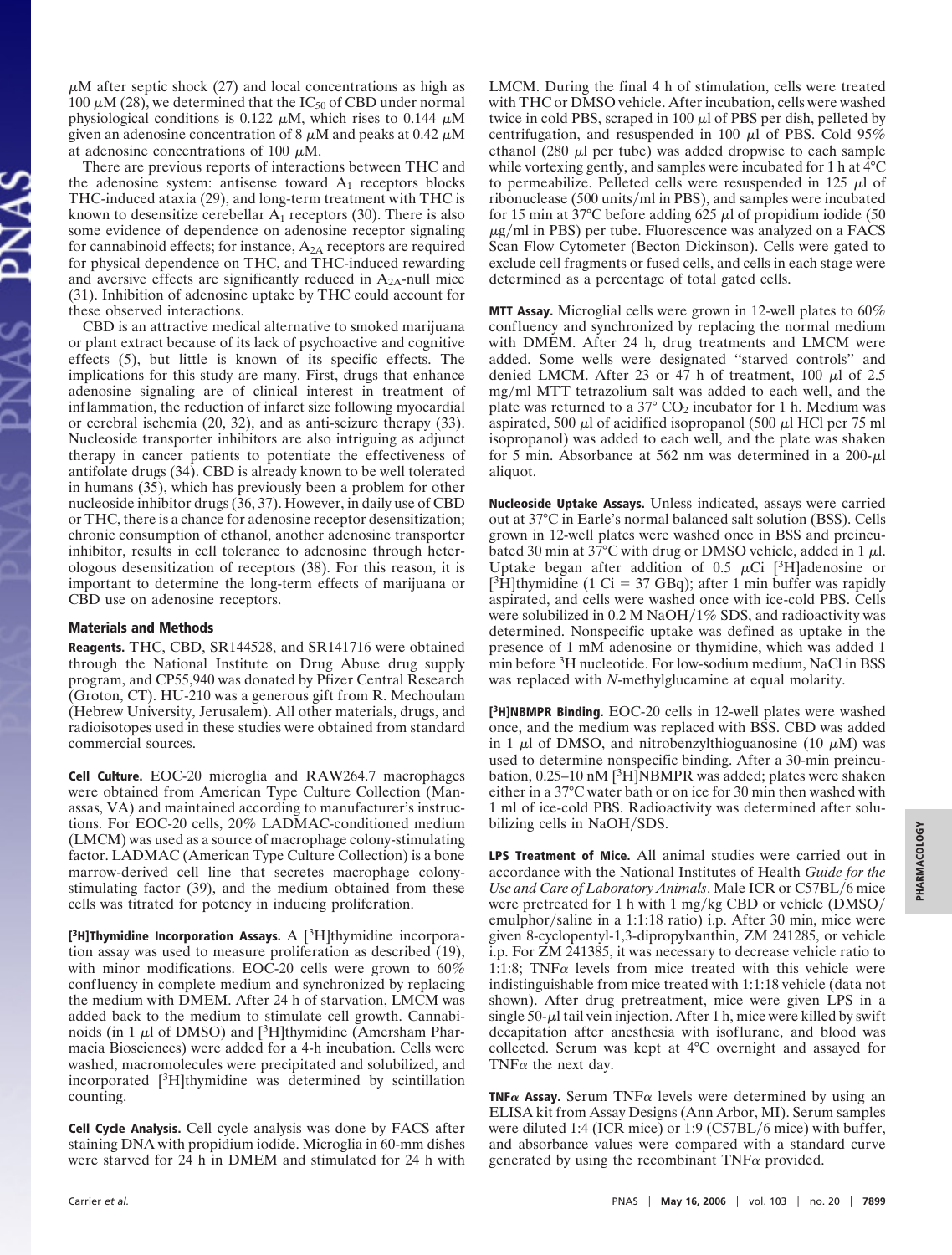$\mu$ M after septic shock (27) and local concentrations as high as 100  $\mu$ M (28), we determined that the IC<sub>50</sub> of CBD under normal physiological conditions is 0.122  $\mu$ M, which rises to 0.144  $\mu$ M given an adenosine concentration of 8  $\mu$ M and peaks at 0.42  $\mu$ M at adenosine concentrations of 100  $\mu$ M.

There are previous reports of interactions between THC and the adenosine system: antisense toward  $A_1$  receptors blocks THC-induced ataxia (29), and long-term treatment with THC is known to desensitize cerebellar  $A_1$  receptors (30). There is also some evidence of dependence on adenosine receptor signaling for cannabinoid effects; for instance,  $A_{2A}$  receptors are required for physical dependence on THC, and THC-induced rewarding and aversive effects are significantly reduced in  $A_{2A}$ -null mice (31). Inhibition of adenosine uptake by THC could account for these observed interactions.

CBD is an attractive medical alternative to smoked marijuana or plant extract because of its lack of psychoactive and cognitive effects (5), but little is known of its specific effects. The implications for this study are many. First, drugs that enhance adenosine signaling are of clinical interest in treatment of inflammation, the reduction of infarct size following myocardial or cerebral ischemia (20, 32), and as anti-seizure therapy (33). Nucleoside transporter inhibitors are also intriguing as adjunct therapy in cancer patients to potentiate the effectiveness of antifolate drugs (34). CBD is already known to be well tolerated in humans (35), which has previously been a problem for other nucleoside inhibitor drugs (36, 37). However, in daily use of CBD or THC, there is a chance for adenosine receptor desensitization; chronic consumption of ethanol, another adenosine transporter inhibitor, results in cell tolerance to adenosine through heterologous desensitization of receptors (38). For this reason, it is important to determine the long-term effects of marijuana or CBD use on adenosine receptors.

## Materials and Methods

Reagents. THC, CBD, SR144528, and SR141716 were obtained through the National Institute on Drug Abuse drug supply program, and CP55,940 was donated by Pfizer Central Research (Groton, CT). HU-210 was a generous gift from R. Mechoulam (Hebrew University, Jerusalem). All other materials, drugs, and radioisotopes used in these studies were obtained from standard commercial sources.

Cell Culture. EOC-20 microglia and RAW264.7 macrophages were obtained from American Type Culture Collection (Manassas, VA) and maintained according to manufacturer's instructions. For EOC-20 cells, 20% LADMAC-conditioned medium (LMCM) was used as a source of macrophage colony-stimulating factor. LADMAC (American Type Culture Collection) is a bone marrow-derived cell line that secretes macrophage colonystimulating factor (39), and the medium obtained from these cells was titrated for potency in inducing proliferation.

[ $3H$ ]Thymidine Incorporation Assays. A  $[3H]$ thymidine incorporation assay was used to measure proliferation as described (19), with minor modifications. EOC-20 cells were grown to  $60\%$ confluency in complete medium and synchronized by replacing the medium with DMEM. After 24 h of starvation, LMCM was added back to the medium to stimulate cell growth. Cannabinoids (in 1  $\mu$ l of DMSO) and [<sup>3</sup>H]thymidine (Amersham Pharmacia Biosciences) were added for a 4-h incubation. Cells were washed, macromolecules were precipitated and solubilized, and incorporated [3H]thymidine was determined by scintillation counting.

Cell Cycle Analysis. Cell cycle analysis was done by FACS after staining DNA with propidium iodide. Microglia in 60-mm dishes were starved for 24 h in DMEM and stimulated for 24 h with LMCM. During the final 4 h of stimulation, cells were treated with THC or DMSO vehicle. After incubation, cells were washed twice in cold PBS, scraped in 100  $\mu$ l of PBS per dish, pelleted by centrifugation, and resuspended in 100  $\mu$ l of PBS. Cold 95% ethanol (280  $\mu$ l per tube) was added dropwise to each sample while vortexing gently, and samples were incubated for 1 h at 4°C to permeabilize. Pelleted cells were resuspended in 125  $\mu$ l of ribonuclease (500 units/ml in PBS), and samples were incubated for 15 min at 37 $\degree$ C before adding 625  $\mu$ l of propidium iodide (50  $\mu$ g/ml in PBS) per tube. Fluorescence was analyzed on a FACS Scan Flow Cytometer (Becton Dickinson). Cells were gated to exclude cell fragments or fused cells, and cells in each stage were determined as a percentage of total gated cells.

**MTT Assay.** Microglial cells were grown in 12-well plates to 60% confluency and synchronized by replacing the normal medium with DMEM. After 24 h, drug treatments and LMCM were added. Some wells were designated ''starved controls'' and denied LMCM. After 23 or 47 h of treatment, 100  $\mu$ l of 2.5 mg/ml MTT tetrazolium salt was added to each well, and the plate was returned to a  $37^{\circ}$  CO<sub>2</sub> incubator for 1 h. Medium was aspirated, 500  $\mu$ l of acidified isopropanol (500  $\mu$ l HCl per 75 ml isopropanol) was added to each well, and the plate was shaken for 5 min. Absorbance at 562 nm was determined in a  $200-\mu l$ aliquot.

Nucleoside Uptake Assays. Unless indicated, assays were carried out at 37°C in Earle's normal balanced salt solution (BSS). Cells grown in 12-well plates were washed once in BSS and preincubated 30 min at 37 $^{\circ}$ C with drug or DMSO vehicle, added in 1  $\mu$ l. Uptake began after addition of 0.5  $\mu$ Ci [<sup>3</sup>H]adenosine or [<sup>3</sup>H]thymidine (1 Ci = 37 GBq); after 1 min buffer was rapidly aspirated, and cells were washed once with ice-cold PBS. Cells were solubilized in 0.2 M NaOH/1% SDS, and radioactivity was determined. Nonspecific uptake was defined as uptake in the presence of 1 mM adenosine or thymidine, which was added 1 min before <sup>3</sup>H nucleotide. For low-sodium medium, NaCl in BSS was replaced with *N*-methylglucamine at equal molarity.

[<sup>3</sup>H]NBMPR Binding. EOC-20 cells in 12-well plates were washed once, and the medium was replaced with BSS. CBD was added in 1  $\mu$ l of DMSO, and nitrobenzylthioguanosine (10  $\mu$ M) was used to determine nonspecific binding. After a 30-min preincubation, 0.25–10 nM [<sup>3</sup>H]NBMPR was added; plates were shaken either in a 37°C water bath or on ice for 30 min then washed with 1 ml of ice-cold PBS. Radioactivity was determined after solubilizing cells in NaOH/SDS.

LPS Treatment of Mice. All animal studies were carried out in accordance with the National Institutes of Health *Guide for the* Use and Care of Laboratory Animals. Male ICR or C57BL/6 mice were pretreated for 1 h with 1 mg/kg CBD or vehicle  $(DMSO/$ emulphor/saline in a 1:1:18 ratio) i.p. After 30 min, mice were given 8-cyclopentyl-1,3-dipropylxanthin, ZM 241285, or vehicle i.p. For ZM 241385, it was necessary to decrease vehicle ratio to 1:1:8; TNF $\alpha$  levels from mice treated with this vehicle were indistinguishable from mice treated with 1:1:18 vehicle (data not shown). After drug pretreatment, mice were given LPS in a single 50- $\mu$ l tail vein injection. After 1 h, mice were killed by swift decapitation after anesthesia with isoflurane, and blood was collected. Serum was kept at 4°C overnight and assayed for TNF $\alpha$  the next day.

**TNF** $\alpha$  **Assay.** Serum TNF $\alpha$  levels were determined by using an ELISA kit from Assay Designs (Ann Arbor, MI). Serum samples were diluted 1:4 (ICR mice) or 1:9 (C57BL/6 mice) with buffer, and absorbance values were compared with a standard curve generated by using the recombinant  $TNF_{\alpha}$  provided.